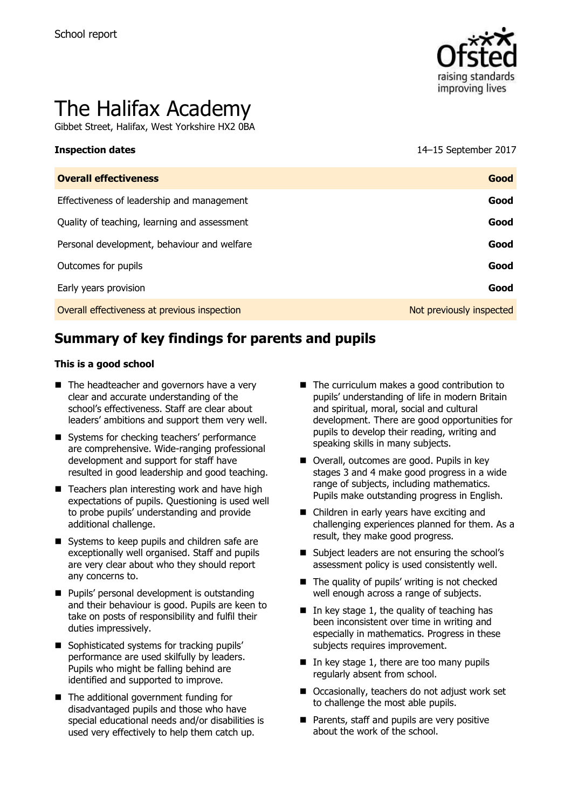

# The Halifax Academy

Gibbet Street, Halifax, West Yorkshire HX2 0BA

**Inspection dates** 14–15 September 2017

| <b>Overall effectiveness</b>                 | Good                     |
|----------------------------------------------|--------------------------|
| Effectiveness of leadership and management   | Good                     |
| Quality of teaching, learning and assessment | Good                     |
| Personal development, behaviour and welfare  | Good                     |
| Outcomes for pupils                          | Good                     |
| Early years provision                        | Good                     |
| Overall effectiveness at previous inspection | Not previously inspected |

# **Summary of key findings for parents and pupils**

#### **This is a good school**

- The headteacher and governors have a very clear and accurate understanding of the school's effectiveness. Staff are clear about leaders' ambitions and support them very well.
- Systems for checking teachers' performance are comprehensive. Wide-ranging professional development and support for staff have resulted in good leadership and good teaching.
- $\blacksquare$  Teachers plan interesting work and have high expectations of pupils. Questioning is used well to probe pupils' understanding and provide additional challenge.
- Systems to keep pupils and children safe are exceptionally well organised. Staff and pupils are very clear about who they should report any concerns to.
- **Pupils' personal development is outstanding** and their behaviour is good. Pupils are keen to take on posts of responsibility and fulfil their duties impressively.
- Sophisticated systems for tracking pupils' performance are used skilfully by leaders. Pupils who might be falling behind are identified and supported to improve.
- The additional government funding for disadvantaged pupils and those who have special educational needs and/or disabilities is used very effectively to help them catch up.
- The curriculum makes a good contribution to pupils' understanding of life in modern Britain and spiritual, moral, social and cultural development. There are good opportunities for pupils to develop their reading, writing and speaking skills in many subjects.
- Overall, outcomes are good. Pupils in key stages 3 and 4 make good progress in a wide range of subjects, including mathematics. Pupils make outstanding progress in English.
- Children in early years have exciting and challenging experiences planned for them. As a result, they make good progress.
- Subject leaders are not ensuring the school's assessment policy is used consistently well.
- $\blacksquare$  The quality of pupils' writing is not checked well enough across a range of subjects.
- $\blacksquare$  In key stage 1, the quality of teaching has been inconsistent over time in writing and especially in mathematics. Progress in these subjects requires improvement.
- $\blacksquare$  In key stage 1, there are too many pupils regularly absent from school.
- Occasionally, teachers do not adjust work set to challenge the most able pupils.
- **Parents, staff and pupils are very positive** about the work of the school.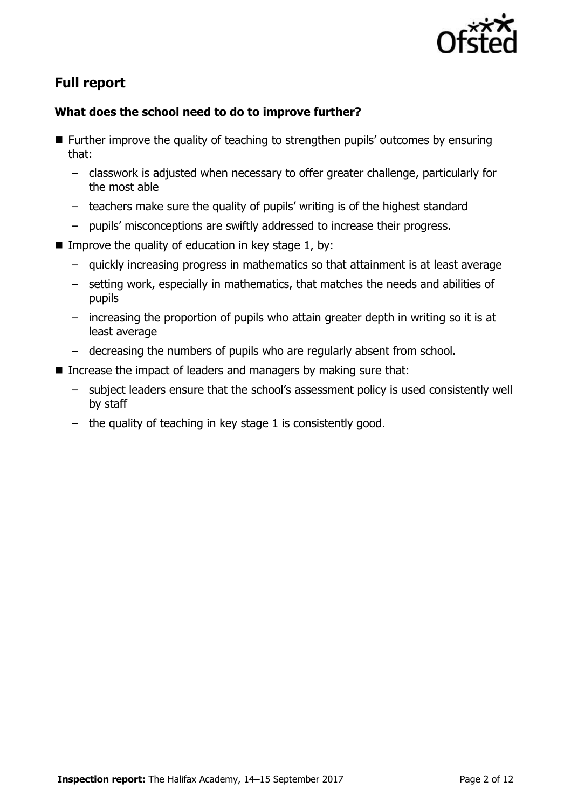

# **Full report**

### **What does the school need to do to improve further?**

- Further improve the quality of teaching to strengthen pupils' outcomes by ensuring that:
	- classwork is adjusted when necessary to offer greater challenge, particularly for the most able
	- teachers make sure the quality of pupils' writing is of the highest standard
	- pupils' misconceptions are swiftly addressed to increase their progress.
- Improve the quality of education in key stage 1, by:
	- quickly increasing progress in mathematics so that attainment is at least average
	- setting work, especially in mathematics, that matches the needs and abilities of pupils
	- increasing the proportion of pupils who attain greater depth in writing so it is at least average
	- decreasing the numbers of pupils who are regularly absent from school.
- Increase the impact of leaders and managers by making sure that:
	- subject leaders ensure that the school's assessment policy is used consistently well by staff
	- the quality of teaching in key stage 1 is consistently good.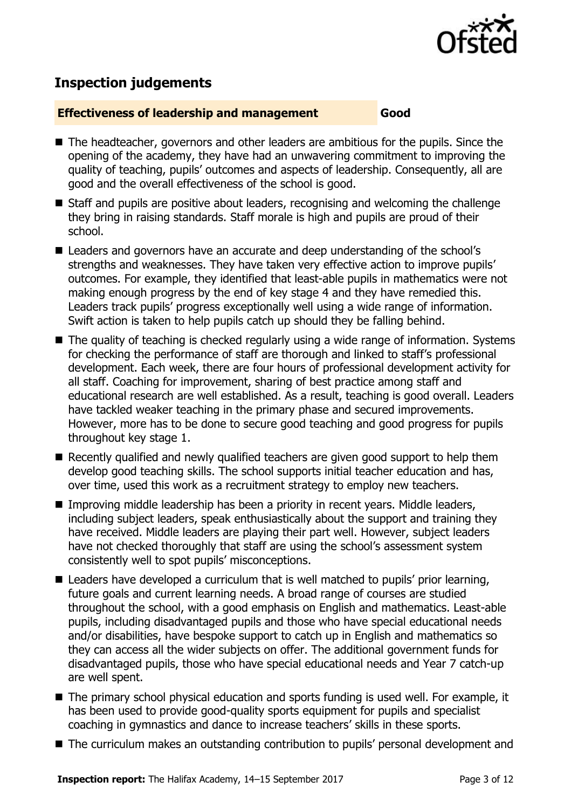

# **Inspection judgements**

#### **Effectiveness of leadership and management Good**

- The headteacher, governors and other leaders are ambitious for the pupils. Since the opening of the academy, they have had an unwavering commitment to improving the quality of teaching, pupils' outcomes and aspects of leadership. Consequently, all are good and the overall effectiveness of the school is good.
- Staff and pupils are positive about leaders, recognising and welcoming the challenge they bring in raising standards. Staff morale is high and pupils are proud of their school.
- Leaders and governors have an accurate and deep understanding of the school's strengths and weaknesses. They have taken very effective action to improve pupils' outcomes. For example, they identified that least-able pupils in mathematics were not making enough progress by the end of key stage 4 and they have remedied this. Leaders track pupils' progress exceptionally well using a wide range of information. Swift action is taken to help pupils catch up should they be falling behind.
- The quality of teaching is checked regularly using a wide range of information. Systems for checking the performance of staff are thorough and linked to staff's professional development. Each week, there are four hours of professional development activity for all staff. Coaching for improvement, sharing of best practice among staff and educational research are well established. As a result, teaching is good overall. Leaders have tackled weaker teaching in the primary phase and secured improvements. However, more has to be done to secure good teaching and good progress for pupils throughout key stage 1.
- Recently qualified and newly qualified teachers are given good support to help them develop good teaching skills. The school supports initial teacher education and has, over time, used this work as a recruitment strategy to employ new teachers.
- Improving middle leadership has been a priority in recent years. Middle leaders, including subject leaders, speak enthusiastically about the support and training they have received. Middle leaders are playing their part well. However, subject leaders have not checked thoroughly that staff are using the school's assessment system consistently well to spot pupils' misconceptions.
- Leaders have developed a curriculum that is well matched to pupils' prior learning, future goals and current learning needs. A broad range of courses are studied throughout the school, with a good emphasis on English and mathematics. Least-able pupils, including disadvantaged pupils and those who have special educational needs and/or disabilities, have bespoke support to catch up in English and mathematics so they can access all the wider subjects on offer. The additional government funds for disadvantaged pupils, those who have special educational needs and Year 7 catch-up are well spent.
- The primary school physical education and sports funding is used well. For example, it has been used to provide good-quality sports equipment for pupils and specialist coaching in gymnastics and dance to increase teachers' skills in these sports.
- The curriculum makes an outstanding contribution to pupils' personal development and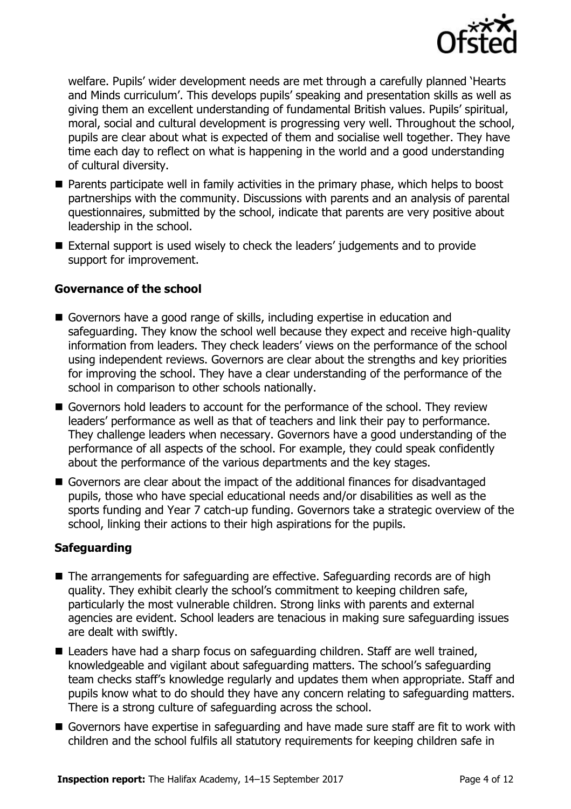

welfare. Pupils' wider development needs are met through a carefully planned 'Hearts and Minds curriculum'. This develops pupils' speaking and presentation skills as well as giving them an excellent understanding of fundamental British values. Pupils' spiritual, moral, social and cultural development is progressing very well. Throughout the school, pupils are clear about what is expected of them and socialise well together. They have time each day to reflect on what is happening in the world and a good understanding of cultural diversity.

- **Parents participate well in family activities in the primary phase, which helps to boost** partnerships with the community. Discussions with parents and an analysis of parental questionnaires, submitted by the school, indicate that parents are very positive about leadership in the school.
- External support is used wisely to check the leaders' judgements and to provide support for improvement.

#### **Governance of the school**

- Governors have a good range of skills, including expertise in education and safeguarding. They know the school well because they expect and receive high-quality information from leaders. They check leaders' views on the performance of the school using independent reviews. Governors are clear about the strengths and key priorities for improving the school. They have a clear understanding of the performance of the school in comparison to other schools nationally.
- Governors hold leaders to account for the performance of the school. They review leaders' performance as well as that of teachers and link their pay to performance. They challenge leaders when necessary. Governors have a good understanding of the performance of all aspects of the school. For example, they could speak confidently about the performance of the various departments and the key stages.
- Governors are clear about the impact of the additional finances for disadvantaged pupils, those who have special educational needs and/or disabilities as well as the sports funding and Year 7 catch-up funding. Governors take a strategic overview of the school, linking their actions to their high aspirations for the pupils.

### **Safeguarding**

- The arrangements for safeguarding are effective. Safeguarding records are of high quality. They exhibit clearly the school's commitment to keeping children safe, particularly the most vulnerable children. Strong links with parents and external agencies are evident. School leaders are tenacious in making sure safeguarding issues are dealt with swiftly.
- Leaders have had a sharp focus on safeguarding children. Staff are well trained, knowledgeable and vigilant about safeguarding matters. The school's safeguarding team checks staff's knowledge regularly and updates them when appropriate. Staff and pupils know what to do should they have any concern relating to safeguarding matters. There is a strong culture of safeguarding across the school.
- Governors have expertise in safeguarding and have made sure staff are fit to work with children and the school fulfils all statutory requirements for keeping children safe in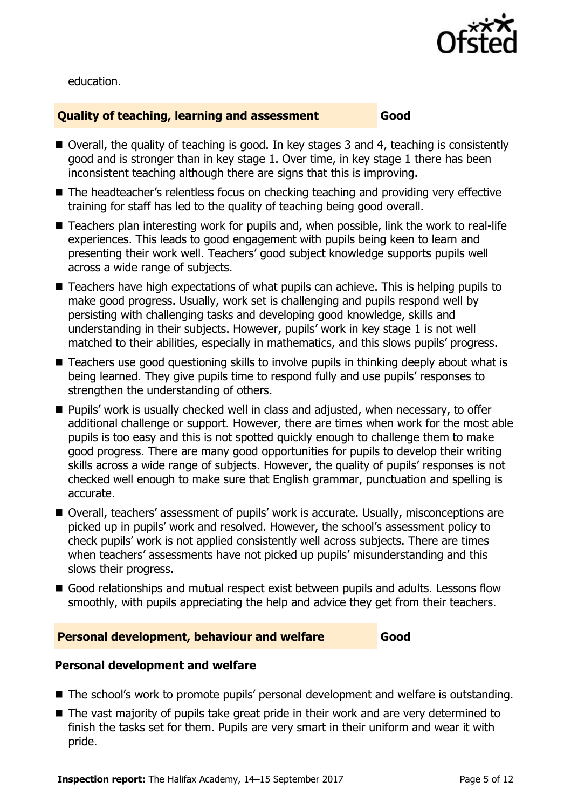

education.

#### **Quality of teaching, learning and assessment Good**

- Overall, the quality of teaching is good. In key stages 3 and 4, teaching is consistently good and is stronger than in key stage 1. Over time, in key stage 1 there has been inconsistent teaching although there are signs that this is improving.
- The headteacher's relentless focus on checking teaching and providing very effective training for staff has led to the quality of teaching being good overall.
- Teachers plan interesting work for pupils and, when possible, link the work to real-life experiences. This leads to good engagement with pupils being keen to learn and presenting their work well. Teachers' good subject knowledge supports pupils well across a wide range of subjects.
- Teachers have high expectations of what pupils can achieve. This is helping pupils to make good progress. Usually, work set is challenging and pupils respond well by persisting with challenging tasks and developing good knowledge, skills and understanding in their subjects. However, pupils' work in key stage 1 is not well matched to their abilities, especially in mathematics, and this slows pupils' progress.
- Teachers use good questioning skills to involve pupils in thinking deeply about what is being learned. They give pupils time to respond fully and use pupils' responses to strengthen the understanding of others.
- Pupils' work is usually checked well in class and adjusted, when necessary, to offer additional challenge or support. However, there are times when work for the most able pupils is too easy and this is not spotted quickly enough to challenge them to make good progress. There are many good opportunities for pupils to develop their writing skills across a wide range of subjects. However, the quality of pupils' responses is not checked well enough to make sure that English grammar, punctuation and spelling is accurate.
- Overall, teachers' assessment of pupils' work is accurate. Usually, misconceptions are picked up in pupils' work and resolved. However, the school's assessment policy to check pupils' work is not applied consistently well across subjects. There are times when teachers' assessments have not picked up pupils' misunderstanding and this slows their progress.
- Good relationships and mutual respect exist between pupils and adults. Lessons flow smoothly, with pupils appreciating the help and advice they get from their teachers.

### **Personal development, behaviour and welfare Good**

### **Personal development and welfare**

- The school's work to promote pupils' personal development and welfare is outstanding.
- The vast majority of pupils take great pride in their work and are very determined to finish the tasks set for them. Pupils are very smart in their uniform and wear it with pride.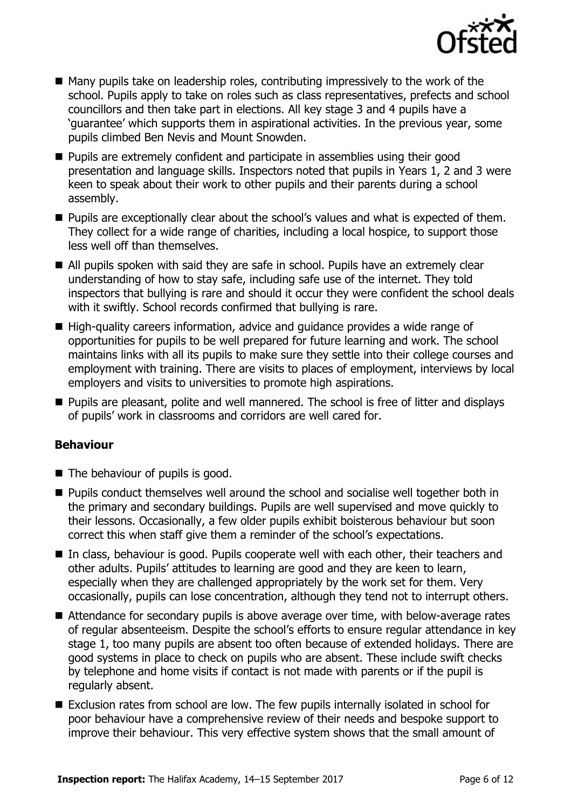

- $\blacksquare$  Many pupils take on leadership roles, contributing impressively to the work of the school. Pupils apply to take on roles such as class representatives, prefects and school councillors and then take part in elections. All key stage 3 and 4 pupils have a 'guarantee' which supports them in aspirational activities. In the previous year, some pupils climbed Ben Nevis and Mount Snowden.
- **Pupils are extremely confident and participate in assemblies using their good** presentation and language skills. Inspectors noted that pupils in Years 1, 2 and 3 were keen to speak about their work to other pupils and their parents during a school assembly.
- **Pupils are exceptionally clear about the school's values and what is expected of them.** They collect for a wide range of charities, including a local hospice, to support those less well off than themselves.
- All pupils spoken with said they are safe in school. Pupils have an extremely clear understanding of how to stay safe, including safe use of the internet. They told inspectors that bullying is rare and should it occur they were confident the school deals with it swiftly. School records confirmed that bullying is rare.
- High-quality careers information, advice and quidance provides a wide range of opportunities for pupils to be well prepared for future learning and work. The school maintains links with all its pupils to make sure they settle into their college courses and employment with training. There are visits to places of employment, interviews by local employers and visits to universities to promote high aspirations.
- **Pupils are pleasant, polite and well mannered. The school is free of litter and displays** of pupils' work in classrooms and corridors are well cared for.

### **Behaviour**

- $\blacksquare$  The behaviour of pupils is good.
- **Pupils conduct themselves well around the school and socialise well together both in** the primary and secondary buildings. Pupils are well supervised and move quickly to their lessons. Occasionally, a few older pupils exhibit boisterous behaviour but soon correct this when staff give them a reminder of the school's expectations.
- In class, behaviour is good. Pupils cooperate well with each other, their teachers and other adults. Pupils' attitudes to learning are good and they are keen to learn, especially when they are challenged appropriately by the work set for them. Very occasionally, pupils can lose concentration, although they tend not to interrupt others.
- Attendance for secondary pupils is above average over time, with below-average rates of regular absenteeism. Despite the school's efforts to ensure regular attendance in key stage 1, too many pupils are absent too often because of extended holidays. There are good systems in place to check on pupils who are absent. These include swift checks by telephone and home visits if contact is not made with parents or if the pupil is regularly absent.
- Exclusion rates from school are low. The few pupils internally isolated in school for poor behaviour have a comprehensive review of their needs and bespoke support to improve their behaviour. This very effective system shows that the small amount of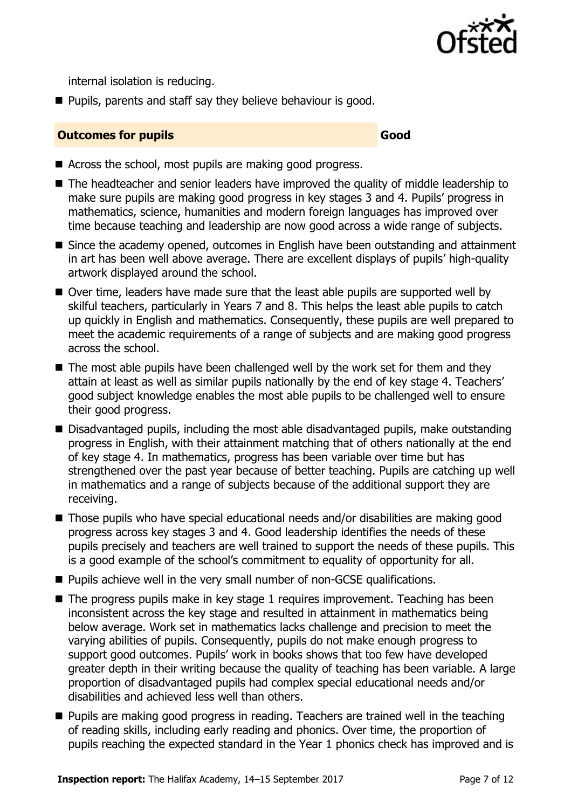

internal isolation is reducing.

**Pupils, parents and staff say they believe behaviour is good.** 

#### **Outcomes for pupils Good Good**

- Across the school, most pupils are making good progress.
- The headteacher and senior leaders have improved the quality of middle leadership to make sure pupils are making good progress in key stages 3 and 4. Pupils' progress in mathematics, science, humanities and modern foreign languages has improved over time because teaching and leadership are now good across a wide range of subjects.
- Since the academy opened, outcomes in English have been outstanding and attainment in art has been well above average. There are excellent displays of pupils' high-quality artwork displayed around the school.
- Over time, leaders have made sure that the least able pupils are supported well by skilful teachers, particularly in Years 7 and 8. This helps the least able pupils to catch up quickly in English and mathematics. Consequently, these pupils are well prepared to meet the academic requirements of a range of subjects and are making good progress across the school.
- $\blacksquare$  The most able pupils have been challenged well by the work set for them and they attain at least as well as similar pupils nationally by the end of key stage 4. Teachers' good subject knowledge enables the most able pupils to be challenged well to ensure their good progress.
- Disadvantaged pupils, including the most able disadvantaged pupils, make outstanding progress in English, with their attainment matching that of others nationally at the end of key stage 4. In mathematics, progress has been variable over time but has strengthened over the past year because of better teaching. Pupils are catching up well in mathematics and a range of subjects because of the additional support they are receiving.
- Those pupils who have special educational needs and/or disabilities are making good progress across key stages 3 and 4. Good leadership identifies the needs of these pupils precisely and teachers are well trained to support the needs of these pupils. This is a good example of the school's commitment to equality of opportunity for all.
- **Pupils achieve well in the very small number of non-GCSE qualifications.**
- $\blacksquare$  The progress pupils make in key stage 1 requires improvement. Teaching has been inconsistent across the key stage and resulted in attainment in mathematics being below average. Work set in mathematics lacks challenge and precision to meet the varying abilities of pupils. Consequently, pupils do not make enough progress to support good outcomes. Pupils' work in books shows that too few have developed greater depth in their writing because the quality of teaching has been variable. A large proportion of disadvantaged pupils had complex special educational needs and/or disabilities and achieved less well than others.
- **Pupils are making good progress in reading. Teachers are trained well in the teaching** of reading skills, including early reading and phonics. Over time, the proportion of pupils reaching the expected standard in the Year 1 phonics check has improved and is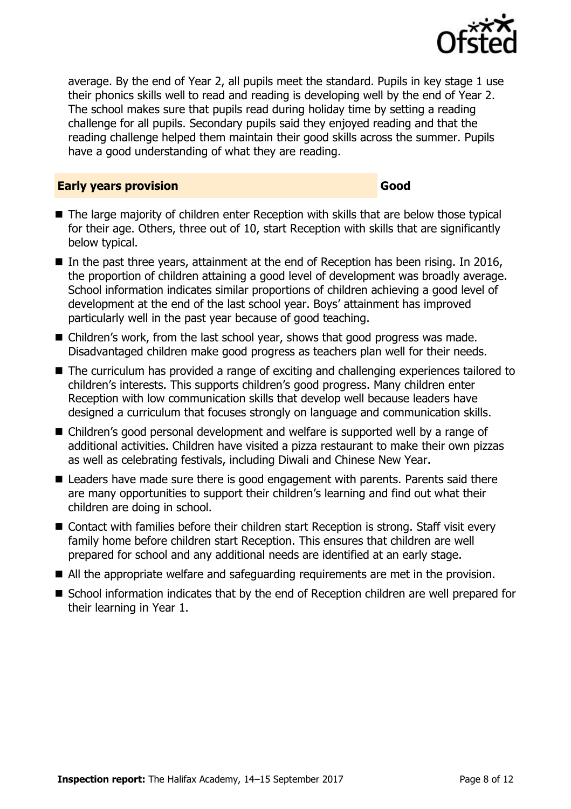

average. By the end of Year 2, all pupils meet the standard. Pupils in key stage 1 use their phonics skills well to read and reading is developing well by the end of Year 2. The school makes sure that pupils read during holiday time by setting a reading challenge for all pupils. Secondary pupils said they enjoyed reading and that the reading challenge helped them maintain their good skills across the summer. Pupils have a good understanding of what they are reading.

#### **Early years provision Good**

- The large majority of children enter Reception with skills that are below those typical for their age. Others, three out of 10, start Reception with skills that are significantly below typical.
- $\blacksquare$  In the past three years, attainment at the end of Reception has been rising. In 2016, the proportion of children attaining a good level of development was broadly average. School information indicates similar proportions of children achieving a good level of development at the end of the last school year. Boys' attainment has improved particularly well in the past year because of good teaching.
- Children's work, from the last school year, shows that good progress was made. Disadvantaged children make good progress as teachers plan well for their needs.
- The curriculum has provided a range of exciting and challenging experiences tailored to children's interests. This supports children's good progress. Many children enter Reception with low communication skills that develop well because leaders have designed a curriculum that focuses strongly on language and communication skills.
- Children's good personal development and welfare is supported well by a range of additional activities. Children have visited a pizza restaurant to make their own pizzas as well as celebrating festivals, including Diwali and Chinese New Year.
- Leaders have made sure there is good engagement with parents. Parents said there are many opportunities to support their children's learning and find out what their children are doing in school.
- Contact with families before their children start Reception is strong. Staff visit every family home before children start Reception. This ensures that children are well prepared for school and any additional needs are identified at an early stage.
- All the appropriate welfare and safeguarding requirements are met in the provision.
- **S** School information indicates that by the end of Reception children are well prepared for their learning in Year 1.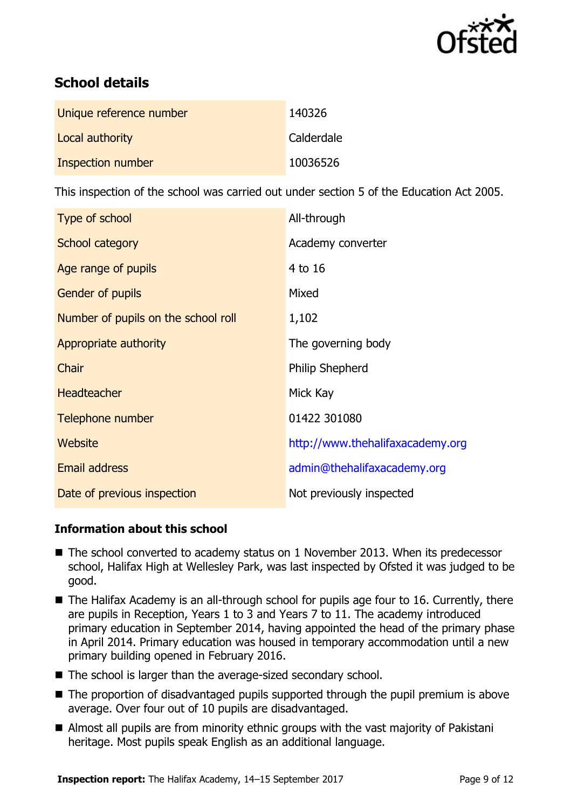

# **School details**

| Unique reference number | 140326     |
|-------------------------|------------|
| Local authority         | Calderdale |
| Inspection number       | 10036526   |

This inspection of the school was carried out under section 5 of the Education Act 2005.

| Type of school                      | All-through                      |  |
|-------------------------------------|----------------------------------|--|
| School category                     | Academy converter                |  |
| Age range of pupils                 | 4 to 16                          |  |
| <b>Gender of pupils</b>             | Mixed                            |  |
| Number of pupils on the school roll | 1,102                            |  |
| Appropriate authority               | The governing body               |  |
| Chair                               | <b>Philip Shepherd</b>           |  |
| <b>Headteacher</b>                  | Mick Kay                         |  |
| Telephone number                    | 01422 301080                     |  |
| Website                             | http://www.thehalifaxacademy.org |  |
| <b>Email address</b>                | admin@thehalifaxacademy.org      |  |
| Date of previous inspection         | Not previously inspected         |  |

### **Information about this school**

- The school converted to academy status on 1 November 2013. When its predecessor school, Halifax High at Wellesley Park, was last inspected by Ofsted it was judged to be good.
- The Halifax Academy is an all-through school for pupils age four to 16. Currently, there are pupils in Reception, Years 1 to 3 and Years 7 to 11. The academy introduced primary education in September 2014, having appointed the head of the primary phase in April 2014. Primary education was housed in temporary accommodation until a new primary building opened in February 2016.
- The school is larger than the average-sized secondary school.
- The proportion of disadvantaged pupils supported through the pupil premium is above average. Over four out of 10 pupils are disadvantaged.
- Almost all pupils are from minority ethnic groups with the vast majority of Pakistani heritage. Most pupils speak English as an additional language.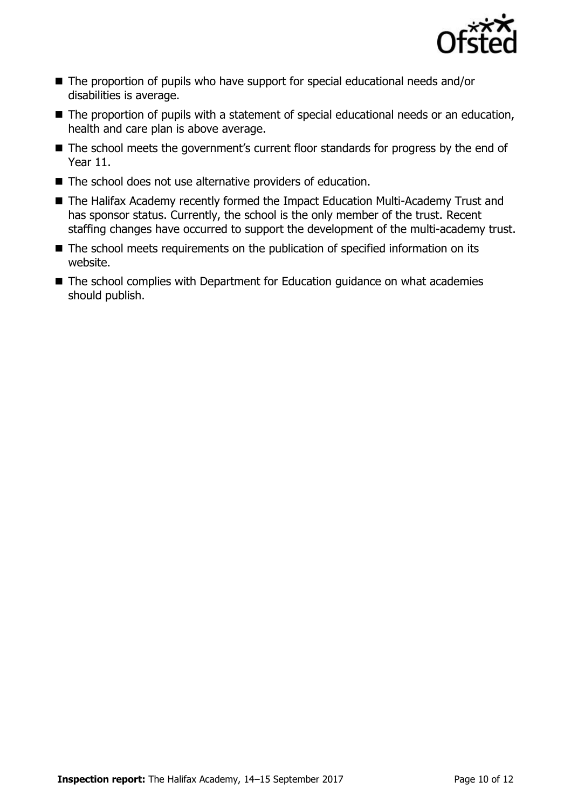

- The proportion of pupils who have support for special educational needs and/or disabilities is average.
- The proportion of pupils with a statement of special educational needs or an education, health and care plan is above average.
- The school meets the government's current floor standards for progress by the end of Year 11.
- The school does not use alternative providers of education.
- The Halifax Academy recently formed the Impact Education Multi-Academy Trust and has sponsor status. Currently, the school is the only member of the trust. Recent staffing changes have occurred to support the development of the multi-academy trust.
- The school meets requirements on the publication of specified information on its website.
- The school complies with Department for Education guidance on what academies should publish.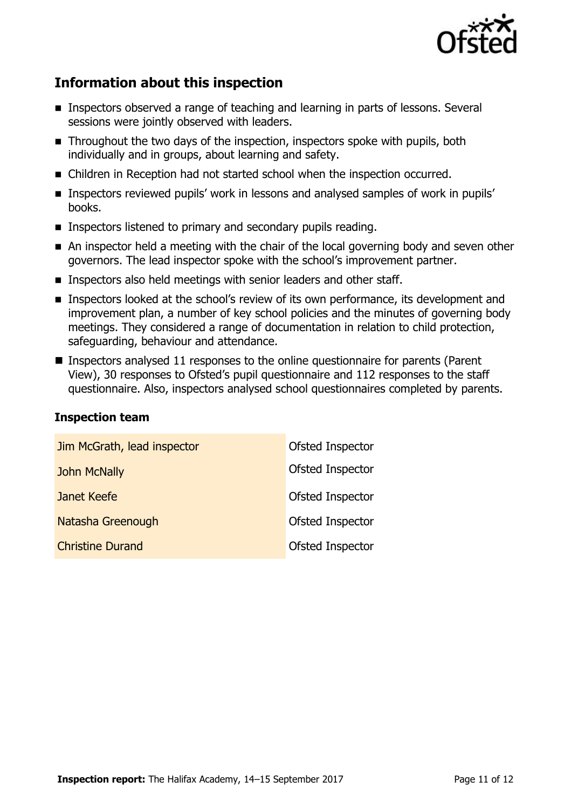

# **Information about this inspection**

- Inspectors observed a range of teaching and learning in parts of lessons. Several sessions were jointly observed with leaders.
- **Throughout the two days of the inspection, inspectors spoke with pupils, both** individually and in groups, about learning and safety.
- Children in Reception had not started school when the inspection occurred.
- **Inspectors reviewed pupils' work in lessons and analysed samples of work in pupils'** books.
- **Inspectors listened to primary and secondary pupils reading.**
- An inspector held a meeting with the chair of the local governing body and seven other governors. The lead inspector spoke with the school's improvement partner.
- **Inspectors also held meetings with senior leaders and other staff.**
- **Inspectors looked at the school's review of its own performance, its development and** improvement plan, a number of key school policies and the minutes of governing body meetings. They considered a range of documentation in relation to child protection, safeguarding, behaviour and attendance.
- **Inspectors analysed 11 responses to the online questionnaire for parents (Parent** View), 30 responses to Ofsted's pupil questionnaire and 112 responses to the staff questionnaire. Also, inspectors analysed school questionnaires completed by parents.

#### **Inspection team**

| Jim McGrath, lead inspector | Ofsted Inspector |
|-----------------------------|------------------|
| <b>John McNally</b>         | Ofsted Inspector |
| Janet Keefe                 | Ofsted Inspector |
| Natasha Greenough           | Ofsted Inspector |
| <b>Christine Durand</b>     | Ofsted Inspector |